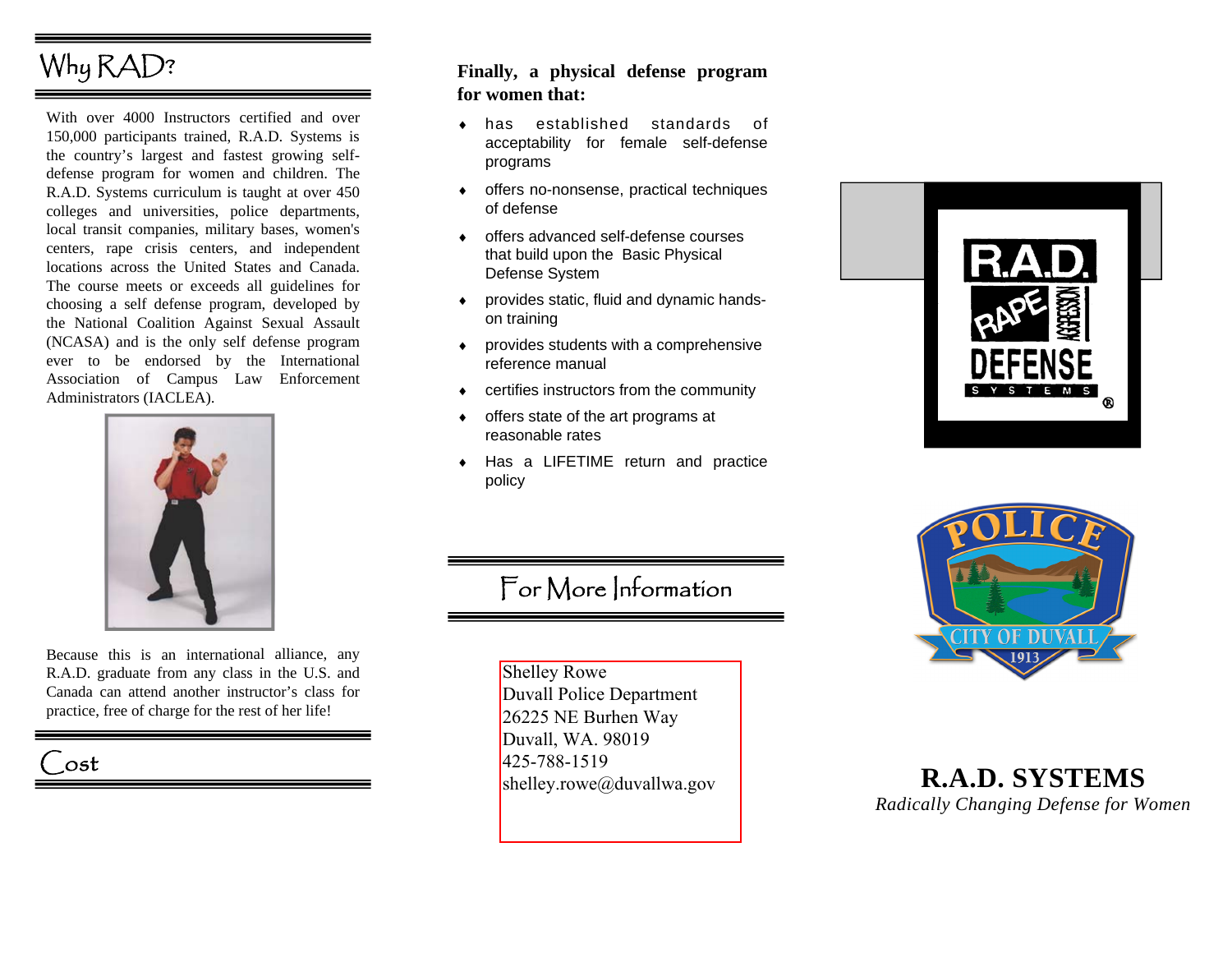# Why RAD?

With over 4000 Instructors certified and over 150,000 participants trained, R.A.D. Systems is the country's largest and fastest growing selfdefense program for women and children. The R.A.D. Systems curriculum is taught at over 450 colleges and universities, police departments, local transit companies, military bases, women's centers, rape crisis centers, and independent locations across the United States and Canada. The course meets or exceeds all guidelines for choosing a self defense program, developed by the National Coalition Against Sexual Assault (NCASA) and is the only self defense program ever to be endorsed by the International Association of Campus Law Enforcement Administrators (IACLEA).



Because this is an international alliance, any R.A.D. graduate from any class in the U.S. and Canada can attend another instructor's class for practice, free of charge for the rest of her life!

# ost

## **Finally, a physical defense program for women that:**

- ♦ has established standards of acceptability for female self-defense programs
- ♦ offers no-nonsense, practical techniques of defense
- ♦ offers advanced self-defense courses that build upon the Basic Physical Defense System
- ♦ provides static, fluid and dynamic handson training
- ♦ provides students with a comprehensive reference manual
- ♦ certifies instructors from the community
- ♦ offers state of the art programs at reasonable rates
- ♦ Has a LIFETIME return and practice policy

# For More Information

Shelley Rowe Duvall Police Department 26225 NE Burhen Way Duvall, WA. 98019 425-788-1519 shelley.rowe@duvallwa.gov





## **R.A.D. SYSTEMS**  *Radically Changing Defense for Women*